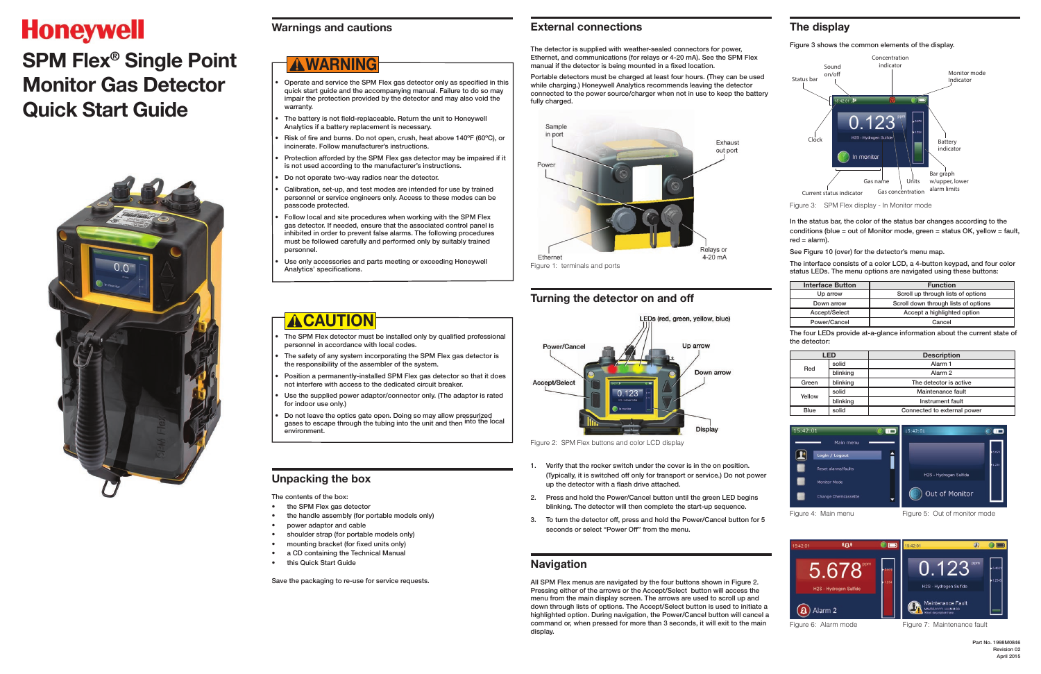# **Honeywell**

# **SPM Flex® Single Point Monitor Gas Detector Quick Start Guide**



#### **Warnings and cautions**

- Operate and service the SPM Flex gas detector only as specified in this quick start guide and the accompanying manual. Failure to do so may impair the protection provided by the detector and may also void the warranty.
- The battery is not field-replaceable. Return the unit to Honeywell Analytics if a battery replacement is necessary.
- Risk of fire and burns. Do not open, crush, heat above 140ºF (60ºC), or incinerate. Follow manufacturer's instructions.
- Protection afforded by the SPM Flex gas detector may be impaired if it is not used according to the manufacturer's instructions.
- Do not operate two-way radios near the detector.
- Calibration, set-up, and test modes are intended for use by trained personnel or service engineers only. Access to these modes can be passcode protected.
- Follow local and site procedures when working with the SPM Flex gas detector. If needed, ensure that the associated control panel is inhibited in order to prevent false alarms. The following procedures must be followed carefully and performed only by suitably trained personnel.
- Use only accessories and parts meeting or exceeding Honeywell Analytics' specifications.

- The SPM Flex detector must be installed only by qualified professional personnel in accordance with local codes.
- The safety of any system incorporating the SPM Flex gas detector is the responsibility of the assembler of the system.
- Position a permanently-installed SPM Flex gas detector so that it does not interfere with access to the dedicated circuit breaker.
- Use the supplied power adaptor/connector only. (The adaptor is rated for indoor use only.)
- Do not leave the optics gate open. Doing so may allow pressurized gases to escape through the tubing into the unit and then into the local environment.

# ! **WARNING**

All SPM Flex menus are navigated by the four buttons shown in Figure 2. Pressing either of the arrows or the Accept/Select button will access the menu from the main display screen. The arrows are used to scroll up and down through lists of options. The Accept/Select button is used to initiate a highlighted option. During navigation, the Power/Cancel button will cancel a command or, when pressed for more than 3 seconds, it will exit to the main display.

# **ACAUTION**

# **Unpacking the box**

The contents of the box:

- the SPM Flex gas detector
- the handle assembly (for portable models only)
- power adaptor and cable
- shoulder strap (for portable models only)
- mounting bracket (for fixed units only)
- a CD containing the Technical Manual
- this Quick Start Guide

Save the packaging to re-use for service requests.

#### **External connections**

The detector is supplied with weather-sealed connectors for power, Ethernet, and communications (for relays or 4-20 mA). See the SPM Flex manual if the detector is being mounted in a fixed location.

Portable detectors must be charged at least four hours. (They can be used while charging.) Honeywell Analytics recommends leaving the detector connected to the power source/charger when not in use to keep the battery fully charged.



# **Turning the detector on and off**



Figure 2: SPM Flex buttons and color LCD display

- 1. Verify that the rocker switch under the cover is in the on position. (Typically, it is switched off only for transport or service.) Do not power up the detector with a flash drive attached.
- 2. Press and hold the Power/Cancel button until the green LED begins blinking. The detector will then complete the start-up sequence.
- 3. To turn the detector off, press and hold the Power/Cancel button for 5 seconds or select "Power Off" from the menu.

#### **Navigation**

# **The display**

Figure 3 shows the common elements of the display.



Figure 3: SPM Flex display - In Monitor mode

In the status bar, the color of the status bar changes according to the conditions (blue = out of Monitor mode, green = status OK, yellow = fault, red = alarm).

See Figure 10 (over) for the detector's menu map.

The interface consists of a color LCD, a 4-button keypad, and four color status LEDs. The menu options are navigated using these buttons:

| <b>Interface Button</b> | <b>Function</b>                      |  |  |
|-------------------------|--------------------------------------|--|--|
| Up arrow                | Scroll up through lists of options   |  |  |
| Down arrow              | Scroll down through lists of options |  |  |
| Accept/Select           | Accept a highlighted option          |  |  |
| Power/Cancel            | Cancel                               |  |  |

The four LEDs provide at-a-glance information about the current state of the detector:

| I FD        |          | <b>Description</b>          |  |  |  |
|-------------|----------|-----------------------------|--|--|--|
| Red         | solid    | Alarm <sub>1</sub>          |  |  |  |
|             | blinking | Alarm <sub>2</sub>          |  |  |  |
| Green       | blinking | The detector is active      |  |  |  |
| Yellow      | solid    | Maintenance fault           |  |  |  |
|             | blinking | Instrument fault            |  |  |  |
| <b>Blue</b> | solid    | Connected to external power |  |  |  |